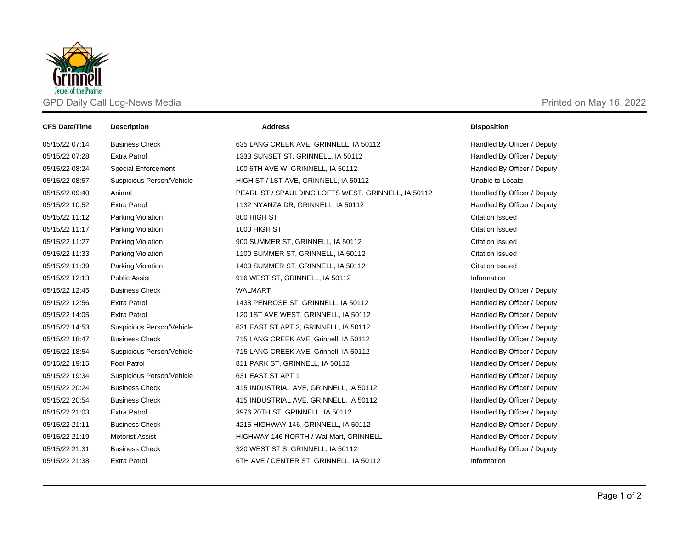

| <b>CFS Date/Time</b> | <b>Description</b>         | <b>Address</b>                                      | <b>Disposition</b>          |
|----------------------|----------------------------|-----------------------------------------------------|-----------------------------|
| 05/15/22 07:14       | <b>Business Check</b>      | 635 LANG CREEK AVE, GRINNELL, IA 50112              | Handled By Officer / Deputy |
| 05/15/22 07:28       | <b>Extra Patrol</b>        | 1333 SUNSET ST, GRINNELL, IA 50112                  | Handled By Officer / Deputy |
| 05/15/22 08:24       | <b>Special Enforcement</b> | 100 6TH AVE W, GRINNELL, IA 50112                   | Handled By Officer / Deputy |
| 05/15/22 08:57       | Suspicious Person/Vehicle  | HIGH ST / 1ST AVE, GRINNELL, IA 50112               | Unable to Locate            |
| 05/15/22 09:40       | Animal                     | PEARL ST / SPAULDING LOFTS WEST, GRINNELL, IA 50112 | Handled By Officer / Deputy |
| 05/15/22 10:52       | <b>Extra Patrol</b>        | 1132 NYANZA DR, GRINNELL, IA 50112                  | Handled By Officer / Deputy |
| 05/15/22 11:12       | Parking Violation          | 800 HIGH ST                                         | <b>Citation Issued</b>      |
| 05/15/22 11:17       | Parking Violation          | 1000 HIGH ST                                        | <b>Citation Issued</b>      |
| 05/15/22 11:27       | Parking Violation          | 900 SUMMER ST, GRINNELL, IA 50112                   | <b>Citation Issued</b>      |
| 05/15/22 11:33       | Parking Violation          | 1100 SUMMER ST, GRINNELL, IA 50112                  | <b>Citation Issued</b>      |
| 05/15/22 11:39       | Parking Violation          | 1400 SUMMER ST, GRINNELL, IA 50112                  | <b>Citation Issued</b>      |
| 05/15/22 12:13       | <b>Public Assist</b>       | 916 WEST ST, GRINNELL, IA 50112                     | Information                 |
| 05/15/22 12:45       | <b>Business Check</b>      | <b>WALMART</b>                                      | Handled By Officer / Deputy |
| 05/15/22 12:56       | <b>Extra Patrol</b>        | 1438 PENROSE ST, GRINNELL, IA 50112                 | Handled By Officer / Deputy |
| 05/15/22 14:05       | <b>Extra Patrol</b>        | 120 1ST AVE WEST, GRINNELL, IA 50112                | Handled By Officer / Deputy |
| 05/15/22 14:53       | Suspicious Person/Vehicle  | 631 EAST ST APT 3, GRINNELL, IA 50112               | Handled By Officer / Deputy |
| 05/15/22 18:47       | <b>Business Check</b>      | 715 LANG CREEK AVE, Grinnell, IA 50112              | Handled By Officer / Deputy |
| 05/15/22 18:54       | Suspicious Person/Vehicle  | 715 LANG CREEK AVE, Grinnell, IA 50112              | Handled By Officer / Deputy |
| 05/15/22 19:15       | <b>Foot Patrol</b>         | 811 PARK ST, GRINNELL, IA 50112                     | Handled By Officer / Deputy |
| 05/15/22 19:34       | Suspicious Person/Vehicle  | 631 EAST ST APT 1                                   | Handled By Officer / Deputy |
| 05/15/22 20:24       | <b>Business Check</b>      | 415 INDUSTRIAL AVE, GRINNELL, IA 50112              | Handled By Officer / Deputy |
| 05/15/22 20:54       | <b>Business Check</b>      | 415 INDUSTRIAL AVE, GRINNELL, IA 50112              | Handled By Officer / Deputy |
| 05/15/22 21:03       | <b>Extra Patrol</b>        | 3976 20TH ST, GRINNELL, IA 50112                    | Handled By Officer / Deputy |
| 05/15/22 21:11       | <b>Business Check</b>      | 4215 HIGHWAY 146, GRINNELL, IA 50112                | Handled By Officer / Deputy |
| 05/15/22 21:19       | <b>Motorist Assist</b>     | HIGHWAY 146 NORTH / Wal-Mart, GRINNELL              | Handled By Officer / Deputy |
| 05/15/22 21:31       | <b>Business Check</b>      | 320 WEST ST S, GRINNELL, IA 50112                   | Handled By Officer / Deputy |
| 05/15/22 21:38       | <b>Extra Patrol</b>        | 6TH AVE / CENTER ST, GRINNELL, IA 50112             | Information                 |
|                      |                            |                                                     |                             |